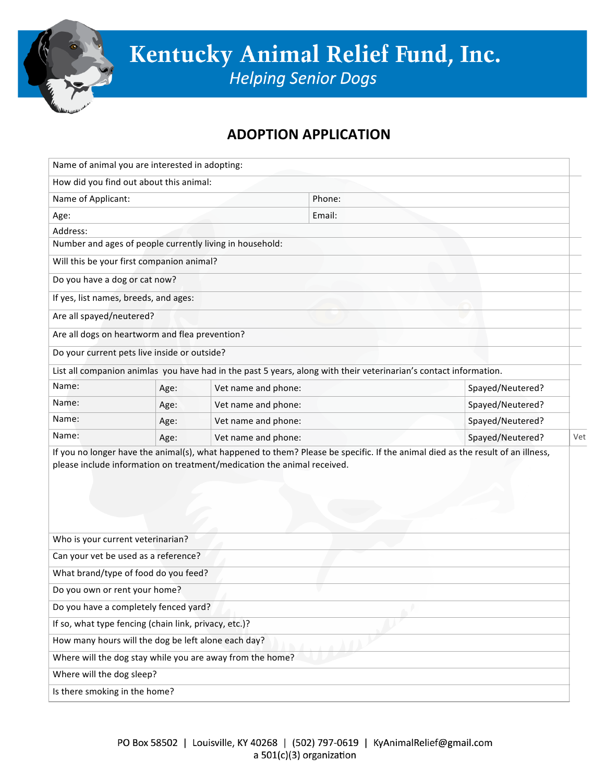

## **ADOPTION(APPLICATION**

| Name of animal you are interested in adopting:        |      |                                                                                                                   |                  |                                                                                                                                 |  |
|-------------------------------------------------------|------|-------------------------------------------------------------------------------------------------------------------|------------------|---------------------------------------------------------------------------------------------------------------------------------|--|
| How did you find out about this animal:               |      |                                                                                                                   |                  |                                                                                                                                 |  |
| Name of Applicant:                                    |      |                                                                                                                   | Phone:           |                                                                                                                                 |  |
| Age:                                                  |      |                                                                                                                   | Email:           |                                                                                                                                 |  |
| Address:                                              |      |                                                                                                                   |                  |                                                                                                                                 |  |
|                                                       |      | Number and ages of people currently living in household:                                                          |                  |                                                                                                                                 |  |
| Will this be your first companion animal?             |      |                                                                                                                   |                  |                                                                                                                                 |  |
| Do you have a dog or cat now?                         |      |                                                                                                                   |                  |                                                                                                                                 |  |
| If yes, list names, breeds, and ages:                 |      |                                                                                                                   |                  |                                                                                                                                 |  |
| Are all spayed/neutered?                              |      |                                                                                                                   |                  |                                                                                                                                 |  |
| Are all dogs on heartworm and flea prevention?        |      |                                                                                                                   |                  |                                                                                                                                 |  |
| Do your current pets live inside or outside?          |      |                                                                                                                   |                  |                                                                                                                                 |  |
|                                                       |      | List all companion animlas you have had in the past 5 years, along with their veterinarian's contact information. |                  |                                                                                                                                 |  |
| Name:                                                 | Age: | Spayed/Neutered?<br>Vet name and phone:                                                                           |                  |                                                                                                                                 |  |
| Name:                                                 | Age: | Vet name and phone:                                                                                               |                  | Spayed/Neutered?                                                                                                                |  |
| Name:                                                 | Age: | Vet name and phone:<br>Spayed/Neutered?                                                                           |                  |                                                                                                                                 |  |
| Name:                                                 | Age: | Vet name and phone:                                                                                               | Spayed/Neutered? |                                                                                                                                 |  |
|                                                       |      | please include information on treatment/medication the animal received.                                           |                  | If you no longer have the animal(s), what happened to them? Please be specific. If the animal died as the result of an illness, |  |
| Who is your current veterinarian?                     |      |                                                                                                                   |                  |                                                                                                                                 |  |
| Can your vet be used as a reference?                  |      |                                                                                                                   |                  |                                                                                                                                 |  |
| What brand/type of food do you feed?                  |      |                                                                                                                   |                  |                                                                                                                                 |  |
| Do you own or rent your home?                         |      |                                                                                                                   |                  |                                                                                                                                 |  |
| Do you have a completely fenced yard?                 |      |                                                                                                                   |                  |                                                                                                                                 |  |
| If so, what type fencing (chain link, privacy, etc.)? |      |                                                                                                                   |                  |                                                                                                                                 |  |
| How many hours will the dog be left alone each day?   |      |                                                                                                                   |                  |                                                                                                                                 |  |
|                                                       |      | Where will the dog stay while you are away from the home?                                                         |                  |                                                                                                                                 |  |
| Where will the dog sleep?                             |      |                                                                                                                   |                  |                                                                                                                                 |  |
| Is there smoking in the home?                         |      |                                                                                                                   |                  |                                                                                                                                 |  |
|                                                       |      |                                                                                                                   |                  |                                                                                                                                 |  |